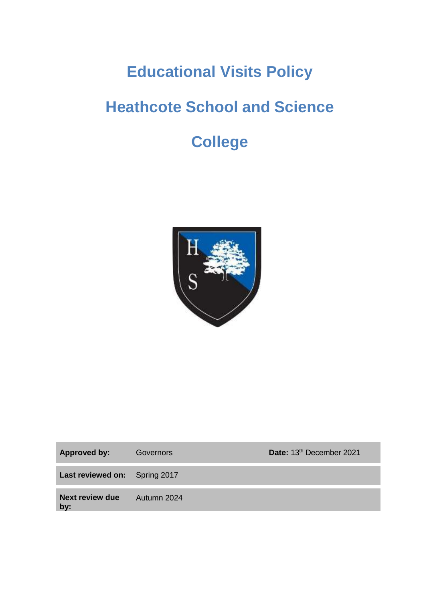# **Educational Visits Policy**

# **Heathcote School and Science**

# **College**



| Approved by:                         | Governors   | Date: 13th December 2021 |
|--------------------------------------|-------------|--------------------------|
| <b>Last reviewed on:</b> Spring 2017 |             |                          |
| Next review due<br>by:               | Autumn 2024 |                          |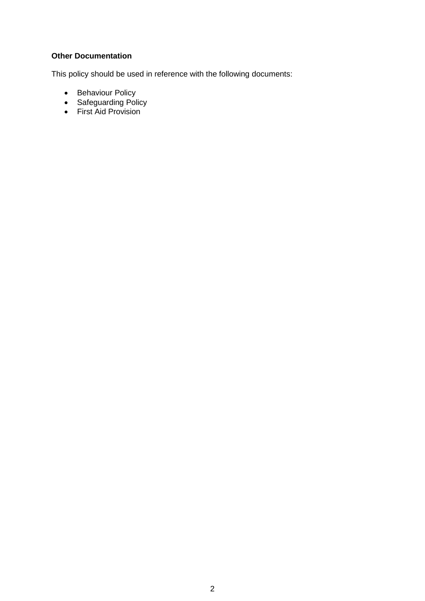## **Other Documentation**

This policy should be used in reference with the following documents:

- Behaviour Policy
- Safeguarding Policy
- First Aid Provision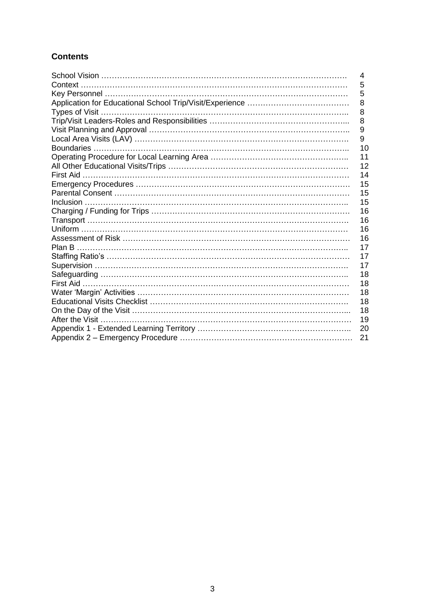# **Contents**

|                                                  | 4  |
|--------------------------------------------------|----|
|                                                  | 5  |
|                                                  | 5  |
|                                                  | 8  |
|                                                  | 8  |
|                                                  | 8  |
|                                                  | 9  |
|                                                  | 9  |
|                                                  | 10 |
|                                                  | 11 |
|                                                  | 12 |
| First Aid …………………………………………………………………………………………     | 14 |
|                                                  | 15 |
|                                                  | 15 |
|                                                  | 15 |
|                                                  | 16 |
|                                                  | 16 |
|                                                  | 16 |
|                                                  | 16 |
|                                                  | 17 |
| Staffing Ratio's ………………………………………………………………………………… | 17 |
|                                                  | 17 |
|                                                  | 18 |
|                                                  | 18 |
|                                                  | 18 |
|                                                  | 18 |
|                                                  | 18 |
|                                                  | 19 |
|                                                  | 20 |
|                                                  | 21 |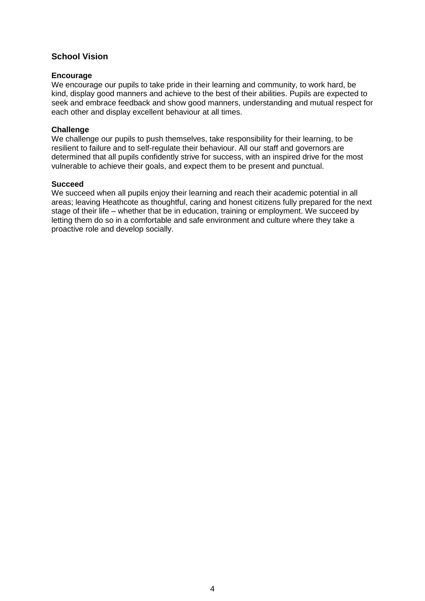## **School Vision**

#### **Encourage**

We encourage our pupils to take pride in their learning and community, to work hard, be kind, display good manners and achieve to the best of their abilities. Pupils are expected to seek and embrace feedback and show good manners, understanding and mutual respect for each other and display excellent behaviour at all times.

#### **Challenge**

We challenge our pupils to push themselves, take responsibility for their learning, to be resilient to failure and to self-regulate their behaviour. All our staff and governors are determined that all pupils confidently strive for success, with an inspired drive for the most vulnerable to achieve their goals, and expect them to be present and punctual.

#### **Succeed**

We succeed when all pupils enjoy their learning and reach their academic potential in all areas; leaving Heathcote as thoughtful, caring and honest citizens fully prepared for the next stage of their life – whether that be in education, training or employment. We succeed by letting them do so in a comfortable and safe environment and culture where they take a proactive role and develop socially.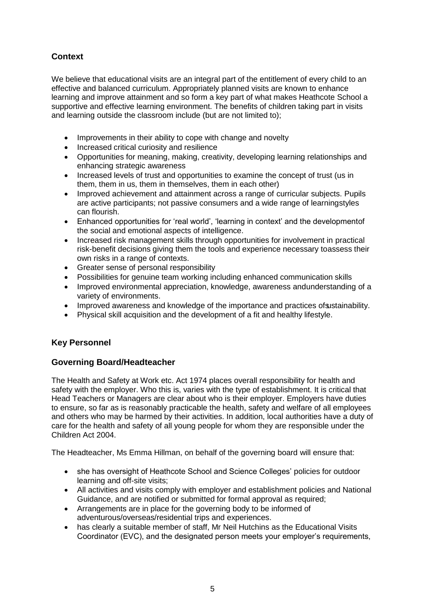# **Context**

We believe that educational visits are an integral part of the entitlement of every child to an effective and balanced curriculum. Appropriately planned visits are known to enhance learning and improve attainment and so form a key part of what makes Heathcote School a supportive and effective learning environment. The benefits of children taking part in visits and learning outside the classroom include (but are not limited to);

- Improvements in their ability to cope with change and novelty
- Increased critical curiosity and resilience
- Opportunities for meaning, making, creativity, developing learning relationships and enhancing strategic awareness
- Increased levels of trust and opportunities to examine the concept of trust (us in them, them in us, them in themselves, them in each other)
- Improved achievement and attainment across a range of curricular subjects. Pupils are active participants; not passive consumers and a wide range of learningstyles can flourish.
- Enhanced opportunities for 'real world', 'learning in context' and the developmentof the social and emotional aspects of intelligence.
- Increased risk management skills through opportunities for involvement in practical risk-benefit decisions giving them the tools and experience necessary toassess their own risks in a range of contexts.
- Greater sense of personal responsibility
- Possibilities for genuine team working including enhanced communication skills
- Improved environmental appreciation, knowledge, awareness andunderstanding of a variety of environments.
- Improved awareness and knowledge of the importance and practices of sustainability.
- Physical skill acquisition and the development of a fit and healthy lifestyle.

# **Key Personnel**

# **Governing Board/Headteacher**

The Health and Safety at Work etc. Act 1974 places overall responsibility for health and safety with the employer. Who this is, varies with the type of establishment. It is critical that Head Teachers or Managers are clear about who is their employer. Employers have duties to ensure, so far as is reasonably practicable the health, safety and welfare of all employees and others who may be harmed by their activities. In addition, local authorities have a duty of care for the health and safety of all young people for whom they are responsible under the Children Act 2004.

The Headteacher, Ms Emma Hillman, on behalf of the governing board will ensure that:

- she has oversight of Heathcote School and Science Colleges' policies for outdoor learning and off-site visits;
- All activities and visits comply with employer and establishment policies and National Guidance, and are notified or submitted for formal approval as required;
- Arrangements are in place for the governing body to be informed of adventurous/overseas/residential trips and experiences.
- has clearly a suitable member of staff, Mr Neil Hutchins as the Educational Visits Coordinator (EVC), and the designated person meets your employer's requirements,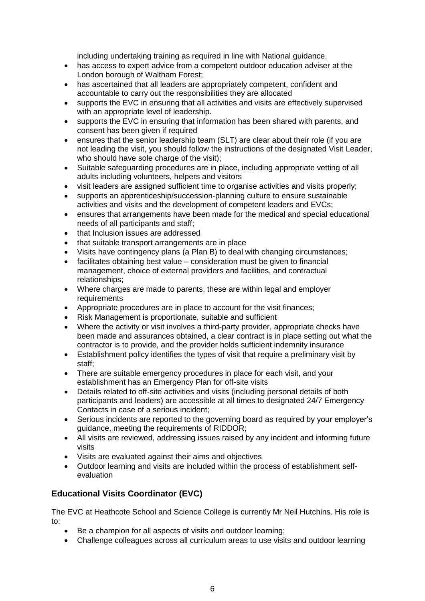including undertaking training as required in line with National guidance.

- has access to expert advice from a competent outdoor education adviser at the London borough of Waltham Forest;
- has ascertained that all leaders are appropriately competent, confident and accountable to carry out the responsibilities they are allocated
- supports the EVC in ensuring that all activities and visits are effectively supervised with an appropriate level of leadership.
- supports the EVC in ensuring that information has been shared with parents, and consent has been given if required
- ensures that the senior leadership team (SLT) are clear about their role (if you are not leading the visit, you should follow the instructions of the designated Visit Leader, who should have sole charge of the visit);
- Suitable safeguarding procedures are in place, including appropriate vetting of all adults including volunteers, helpers and visitors
- visit leaders are assigned sufficient time to organise activities and visits properly;
- supports an apprenticeship/succession-planning culture to ensure sustainable activities and visits and the development of competent leaders and EVCs;
- ensures that arrangements have been made for the medical and special educational needs of all participants and staff;
- that Inclusion issues are addressed
- that suitable transport arrangements are in place
- Visits have contingency plans (a Plan B) to deal with changing circumstances;
- facilitates obtaining best value consideration must be given to financial management, choice of external providers and facilities, and contractual relationships;
- Where charges are made to parents, these are within legal and employer requirements
- Appropriate procedures are in place to account for the visit finances;
- Risk Management is proportionate, suitable and sufficient
- Where the activity or visit involves a third-party provider, appropriate checks have been made and assurances obtained, a clear contract is in place setting out what the contractor is to provide, and the provider holds sufficient indemnity insurance
- Establishment policy identifies the types of visit that require a preliminary visit by staff;
- There are suitable emergency procedures in place for each visit, and your establishment has an Emergency Plan for off-site visits
- Details related to off-site activities and visits (including personal details of both participants and leaders) are accessible at all times to designated 24/7 Emergency Contacts in case of a serious incident;
- Serious incidents are reported to the governing board as required by your employer's guidance, meeting the requirements of RIDDOR;
- All visits are reviewed, addressing issues raised by any incident and informing future visits
- Visits are evaluated against their aims and objectives
- Outdoor learning and visits are included within the process of establishment selfevaluation

# **Educational Visits Coordinator (EVC)**

The EVC at Heathcote School and Science College is currently Mr Neil Hutchins. His role is to:

- Be a champion for all aspects of visits and outdoor learning;
- Challenge colleagues across all curriculum areas to use visits and outdoor learning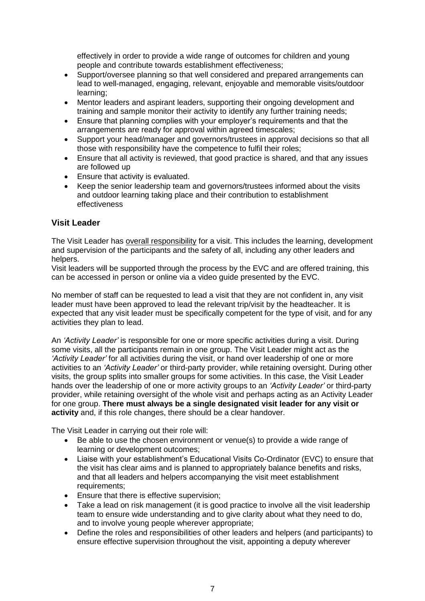effectively in order to provide a wide range of outcomes for children and young people and contribute towards establishment effectiveness;

- Support/oversee planning so that well considered and prepared arrangements can lead to well-managed, engaging, relevant, enjoyable and memorable visits/outdoor learning;
- Mentor leaders and aspirant leaders, supporting their ongoing development and training and sample monitor their activity to identify any further training needs;
- Ensure that planning complies with your employer's requirements and that the arrangements are ready for approval within agreed timescales;
- Support your head/manager and governors/trustees in approval decisions so that all those with responsibility have the competence to fulfil their roles;
- Ensure that all activity is reviewed, that good practice is shared, and that any issues are followed up
- Ensure that activity is evaluated.
- Keep the senior leadership team and governors/trustees informed about the visits and outdoor learning taking place and their contribution to establishment effectiveness

## **Visit Leader**

The Visit Leader has overall responsibility for a visit. This includes the learning, development and supervision of the participants and the safety of all, including any other leaders and helpers.

Visit leaders will be supported through the process by the EVC and are offered training, this can be accessed in person or online via a video guide presented by the EVC.

No member of staff can be requested to lead a visit that they are not confident in, any visit leader must have been approved to lead the relevant trip/visit by the headteacher. It is expected that any visit leader must be specifically competent for the type of visit, and for any activities they plan to lead.

An *'Activity Leader'* is responsible for one or more specific activities during a visit. During some visits, all the participants remain in one group. The Visit Leader might act as the *'Activity Leader'* for all activities during the visit, or hand over leadership of one or more activities to an *'Activity Leader'* or third-party provider, while retaining oversight. During other visits, the group splits into smaller groups for some activities. In this case, the Visit Leader hands over the leadership of one or more activity groups to an *'Activity Leader'* or third-party provider, while retaining oversight of the whole visit and perhaps acting as an Activity Leader for one group. **There must always be a single designated visit leader for any visit or activity** and, if this role changes, there should be a clear handover.

The Visit Leader in carrying out their role will:

- Be able to use the chosen environment or venue(s) to provide a wide range of learning or development outcomes;
- Liaise with your establishment's Educational Visits Co-Ordinator (EVC) to ensure that the visit has clear aims and is planned to appropriately balance benefits and risks, and that all leaders and helpers accompanying the visit meet establishment requirements;
- Ensure that there is effective supervision;
- Take a lead on risk management (it is good practice to involve all the visit leadership team to ensure wide understanding and to give clarity about what they need to do, and to involve young people wherever appropriate;
- Define the roles and responsibilities of other leaders and helpers (and participants) to ensure effective supervision throughout the visit, appointing a deputy wherever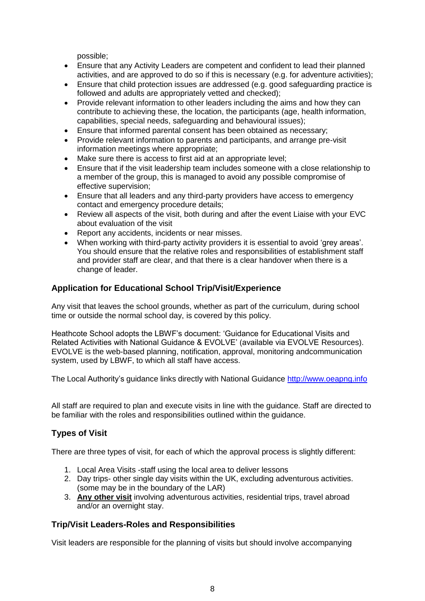possible;

- Ensure that any Activity Leaders are competent and confident to lead their planned activities, and are approved to do so if this is necessary (e.g. for adventure activities);
- Ensure that child protection issues are addressed (e.g. good safeguarding practice is followed and adults are appropriately vetted and checked);
- Provide relevant information to other leaders including the aims and how they can contribute to achieving these, the location, the participants (age, health information, capabilities, special needs, safeguarding and behavioural issues);
- Ensure that informed parental consent has been obtained as necessary;
- Provide relevant information to parents and participants, and arrange pre-visit information meetings where appropriate;
- Make sure there is access to first aid at an appropriate level;
- Ensure that if the visit leadership team includes someone with a close relationship to a member of the group, this is managed to avoid any possible compromise of effective supervision;
- Ensure that all leaders and any third-party providers have access to emergency contact and emergency procedure details;
- Review all aspects of the visit, both during and after the event Liaise with your EVC about evaluation of the visit
- Report any accidents, incidents or near misses.
- When working with third-party activity providers it is essential to avoid 'grey areas'. You should ensure that the relative roles and responsibilities of establishment staff and provider staff are clear, and that there is a clear handover when there is a change of leader.

## **Application for Educational School Trip/Visit/Experience**

Any visit that leaves the school grounds, whether as part of the curriculum, during school time or outside the normal school day, is covered by this policy.

Heathcote School adopts the LBWF's document: 'Guidance for Educational Visits and Related Activities with National Guidance & EVOLVE' (available via EVOLVE Resources). EVOLVE is the web-based planning, notification, approval, monitoring andcommunication system, used by LBWF, to which all staff have access.

The Local Authority's guidance links directly with National Guidance [http://www.oeapng.info](http://www.oeapng.info/)

All staff are required to plan and execute visits in line with the guidance. Staff are directed to be familiar with the roles and responsibilities outlined within the guidance.

## **Types of Visit**

There are three types of visit, for each of which the approval process is slightly different:

- 1. Local Area Visits -staff using the local area to deliver lessons
- 2. Day trips- other single day visits within the UK, excluding adventurous activities. (some may be in the boundary of the LAR)
- 3. **Any other visit** involving adventurous activities, residential trips, travel abroad and/or an overnight stay.

# **Trip/Visit Leaders-Roles and Responsibilities**

Visit leaders are responsible for the planning of visits but should involve accompanying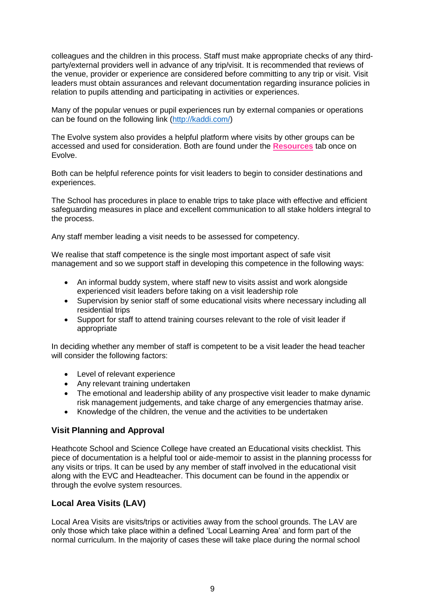colleagues and the children in this process. Staff must make appropriate checks of any thirdparty/external providers well in advance of any trip/visit. It is recommended that reviews of the venue, provider or experience are considered before committing to any trip or visit. Visit leaders must obtain assurances and relevant documentation regarding insurance policies in relation to pupils attending and participating in activities or experiences.

Many of the popular venues or pupil experiences run by external companies or operations can be found on the following link [\(http://kaddi.com/\)](http://kaddi.com/)

The Evolve system also provides a helpful platform where visits by other groups can be accessed and used for consideration. Both are found under the **Resources** tab once on Evolve.

Both can be helpful reference points for visit leaders to begin to consider destinations and experiences.

The School has procedures in place to enable trips to take place with effective and efficient safeguarding measures in place and excellent communication to all stake holders integral to the process.

Any staff member leading a visit needs to be assessed for competency.

We realise that staff competence is the single most important aspect of safe visit management and so we support staff in developing this competence in the following ways:

- An informal buddy system, where staff new to visits assist and work alongside experienced visit leaders before taking on a visit leadership role
- Supervision by senior staff of some educational visits where necessary including all residential trips
- Support for staff to attend training courses relevant to the role of visit leader if appropriate

In deciding whether any member of staff is competent to be a visit leader the head teacher will consider the following factors:

- Level of relevant experience
- Any relevant training undertaken
- The emotional and leadership ability of any prospective visit leader to make dynamic risk management judgements, and take charge of any emergencies thatmay arise.
- Knowledge of the children, the venue and the activities to be undertaken

#### **Visit Planning and Approval**

Heathcote School and Science College have created an Educational visits checklist. This piece of documentation is a helpful tool or aide-memoir to assist in the planning processs for any visits or trips. It can be used by any member of staff involved in the educational visit along with the EVC and Headteacher. This document can be found in the appendix or through the evolve system resources.

## **Local Area Visits (LAV)**

Local Area Visits are visits/trips or activities away from the school grounds. The LAV are only those which take place within a defined 'Local Learning Area' and form part of the normal curriculum. In the majority of cases these will take place during the normal school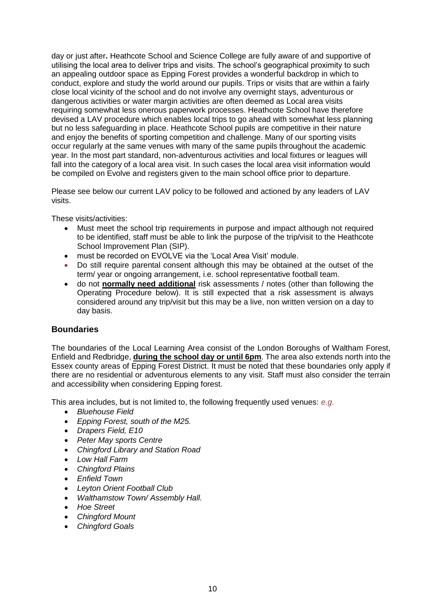day or just after**.** Heathcote School and Science College are fully aware of and supportive of utilising the local area to deliver trips and visits. The school's geographical proximity to such an appealing outdoor space as Epping Forest provides a wonderful backdrop in which to conduct, explore and study the world around our pupils. Trips or visits that are within a fairly close local vicinity of the school and do not involve any overnight stays, adventurous or dangerous activities or water margin activities are often deemed as Local area visits requiring somewhat less onerous paperwork processes. Heathcote School have therefore devised a LAV procedure which enables local trips to go ahead with somewhat less planning but no less safeguarding in place. Heathcote School pupils are competitive in their nature and enjoy the benefits of sporting competition and challenge. Many of our sporting visits occur regularly at the same venues with many of the same pupils throughout the academic year. In the most part standard, non-adventurous activities and local fixtures or leagues will fall into the category of a local area visit. In such cases the local area visit information would be compiled on Evolve and registers given to the main school office prior to departure.

Please see below our current LAV policy to be followed and actioned by any leaders of LAV visits.

These visits/activities:

- Must meet the school trip requirements in purpose and impact although not required to be identified, staff must be able to link the purpose of the trip/visit to the Heathcote School Improvement Plan (SIP).
- must be recorded on EVOLVE via the 'Local Area Visit' module.
- Do still require parental consent although this may be obtained at the outset of the term/ year or ongoing arrangement, i.e. school representative football team.
- do not **normally need additional** risk assessments / notes (other than following the Operating Procedure below). It is still expected that a risk assessment is always considered around any trip/visit but this may be a live, non written version on a day to day basis.

#### **Boundaries**

The boundaries of the Local Learning Area consist of the London Boroughs of Waltham Forest, Enfield and Redbridge, **during the school day or until 6pm**. The area also extends north into the Essex county areas of Epping Forest District. It must be noted that these boundaries only apply if there are no residential or adventurous elements to any visit. Staff must also consider the terrain and accessibility when considering Epping forest.

This area includes, but is not limited to, the following frequently used venues: *e.g.*

- *Bluehouse Field*
- *Epping Forest, south of the M25.*
- *Drapers Field, E10*
- *Peter May sports Centre*
- *Chingford Library and Station Road*
- *Low Hall Farm*
- *Chingford Plains*
- *Enfield Town*
- *Leyton Orient Football Club*
- *Walthamstow Town/ Assembly Hall.*
- *Hoe Street*
- *Chingford Mount*
- *Chingford Goals*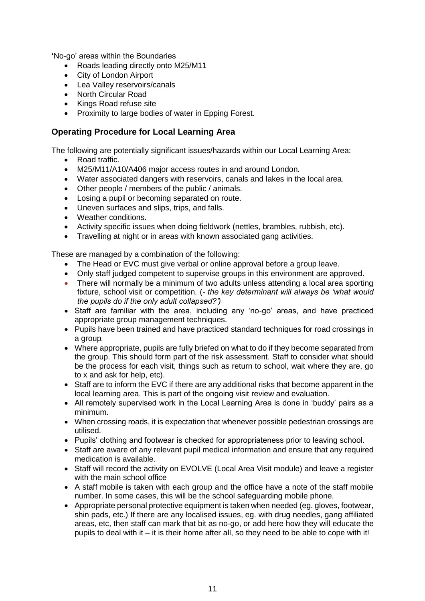**'**No-go' areas within the Boundaries

- Roads leading directly onto M25/M11
- City of London Airport
- Lea Valley reservoirs/canals
- North Circular Road
- Kings Road refuse site
- Proximity to large bodies of water in Epping Forest.

## **Operating Procedure for Local Learning Area**

The following are potentially significant issues/hazards within our Local Learning Area:

- Road traffic.
- M25/M11/A10/A406 major access routes in and around London.
- Water associated dangers with reservoirs, canals and lakes in the local area.
- Other people / members of the public / animals.
- Losing a pupil or becoming separated on route.
- Uneven surfaces and slips, trips, and falls.
- Weather conditions.
- Activity specific issues when doing fieldwork (nettles, brambles, rubbish, etc).
- Travelling at night or in areas with known associated gang activities.

These are managed by a combination of the following:

- The Head or EVC must give verbal or online approval before a group leave.
- Only staff judged competent to supervise groups in this environment are approved.
- There will normally be a minimum of two adults unless attending a local area sporting fixture, school visit or competition. (*- the key determinant will always be 'what would the pupils do if the only adult collapsed?')*
- Staff are familiar with the area, including any 'no-go' areas, and have practiced appropriate group management techniques.
- Pupils have been trained and have practiced standard techniques for road crossings in a group*.*
- Where appropriate, pupils are fully briefed on what to do if they become separated from the group. This should form part of the risk assessment*.* Staff to consider what should be the process for each visit, things such as return to school, wait where they are, go to x and ask for help, etc).
- Staff are to inform the EVC if there are any additional risks that become apparent in the local learning area. This is part of the ongoing visit review and evaluation.
- All remotely supervised work in the Local Learning Area is done in 'buddy' pairs as a minimum.
- When crossing roads, it is expectation that whenever possible pedestrian crossings are utilised.
- Pupils' clothing and footwear is checked for appropriateness prior to leaving school.
- Staff are aware of any relevant pupil medical information and ensure that any required medication is available.
- Staff will record the activity on EVOLVE (Local Area Visit module) and leave a register with the main school office
- A staff mobile is taken with each group and the office have a note of the staff mobile number. In some cases, this will be the school safeguarding mobile phone.
- Appropriate personal protective equipment is taken when needed (eg. gloves, footwear, shin pads, etc.) If there are any localised issues, eg. with drug needles, gang affiliated areas, etc, then staff can mark that bit as no-go, or add here how they will educate the pupils to deal with it – it is their home after all, so they need to be able to cope with it!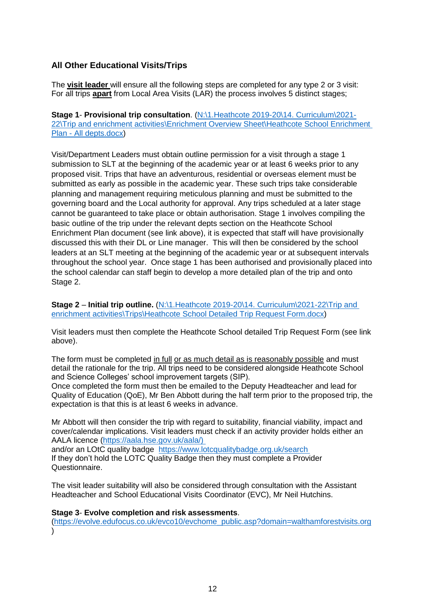## **All Other Educational Visits/Trips**

The **visit leader** will ensure all the following steps are completed for any type 2 or 3 visit: For all trips **apart** from Local Area Visits (LAR) the process involves 5 distinct stages;

**Stage 1**- **Provisional trip consultation**. [\(N:\1.Heathcote 2019-20\14. Curriculum\2021-](file://///10.241.74.23/shared/1.Heathcote%202019-20/14.%20Curriculum/2021-22/Trip%20and%20enrichment%20activities/Enrichment%20Overview%20Sheet/Heathcote%20School%20Enrichment%20Plan%20-%20All%20depts.docx) [22\Trip and enrichment activities\Enrichment Overview Sheet\Heathcote School Enrichment](file://///10.241.74.23/shared/1.Heathcote%202019-20/14.%20Curriculum/2021-22/Trip%20and%20enrichment%20activities/Enrichment%20Overview%20Sheet/Heathcote%20School%20Enrichment%20Plan%20-%20All%20depts.docx)  Plan - [All depts.docx\)](file://///10.241.74.23/shared/1.Heathcote%202019-20/14.%20Curriculum/2021-22/Trip%20and%20enrichment%20activities/Enrichment%20Overview%20Sheet/Heathcote%20School%20Enrichment%20Plan%20-%20All%20depts.docx)

Visit/Department Leaders must obtain outline permission for a visit through a stage 1 submission to SLT at the beginning of the academic year or at least 6 weeks prior to any proposed visit. Trips that have an adventurous, residential or overseas element must be submitted as early as possible in the academic year. These such trips take considerable planning and management requiring meticulous planning and must be submitted to the governing board and the Local authority for approval. Any trips scheduled at a later stage cannot be guaranteed to take place or obtain authorisation. Stage 1 involves compiling the basic outline of the trip under the relevant depts section on the Heathcote School Enrichment Plan document (see link above), it is expected that staff will have provisionally discussed this with their DL or Line manager. This will then be considered by the school leaders at an SLT meeting at the beginning of the academic year or at subsequent intervals throughout the school year. Once stage 1 has been authorised and provisionally placed into the school calendar can staff begin to develop a more detailed plan of the trip and onto Stage 2.

**Stage 2 – Initial trip outline.** (N:\1.Heathcote 2019-20\14. Curriculum\2021-22\Trip and [enrichment activities\Trips\Heathcote School Detailed Trip Request Form.docx\)](Heathcote%20School%20Detailed%20Trip%20Request%20Form.docx)

Visit leaders must then complete the Heathcote School detailed Trip Request Form (see link above).

The form must be completed in full or as much detail as is reasonably possible and must detail the rationale for the trip. All trips need to be considered alongside Heathcote School and Science Colleges' school improvement targets (SIP).

Once completed the form must then be emailed to the Deputy Headteacher and lead for Quality of Education (QoE), Mr Ben Abbott during the half term prior to the proposed trip, the expectation is that this is at least 6 weeks in advance.

Mr Abbott will then consider the trip with regard to suitability, financial viability, impact and cover/calendar implications. Visit leaders must check if an activity provider holds either an AALA licence [\(https://aala.hse.gov.uk/aala/\)](https://aala.hse.gov.uk/aala/))  and/or an LOtC quality badge https://www.lotcqualitybadge.org.uk/search If they don't hold the LOTC Quality Badge then they must complete a Provider Questionnaire.

The visit leader suitability will also be considered through consultation with the Assistant Headteacher and School Educational Visits Coordinator (EVC), Mr Neil Hutchins.

#### **Stage 3**- **Evolve completion and risk assessments**.

[\(https://evolve.edufocus.co.uk/evco10/evchome\\_public.asp?domain=walthamforestvisits.org](https://evolve.edufocus.co.uk/evco10/evchome_public.asp?domain=walthamforestvisits.org)  $\lambda$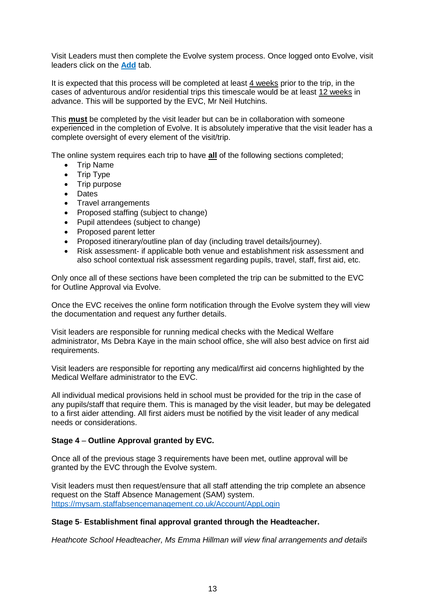Visit Leaders must then complete the Evolve system process. Once logged onto Evolve, visit leaders click on the **Add** tab.

It is expected that this process will be completed at least 4 weeks prior to the trip, in the cases of adventurous and/or residential trips this timescale would be at least 12 weeks in advance. This will be supported by the EVC, Mr Neil Hutchins.

This **must** be completed by the visit leader but can be in collaboration with someone experienced in the completion of Evolve. It is absolutely imperative that the visit leader has a complete oversight of every element of the visit/trip.

The online system requires each trip to have **all** of the following sections completed;

- Trip Name
- Trip Type
- Trip purpose
- Dates
- Travel arrangements
- Proposed staffing (subject to change)
- Pupil attendees (subject to change)
- Proposed parent letter
- Proposed itinerary/outline plan of day (including travel details/journey).
- Risk assessment- if applicable both venue and establishment risk assessment and also school contextual risk assessment regarding pupils, travel, staff, first aid, etc.

Only once all of these sections have been completed the trip can be submitted to the EVC for Outline Approval via Evolve.

Once the EVC receives the online form notification through the Evolve system they will view the documentation and request any further details.

Visit leaders are responsible for running medical checks with the Medical Welfare administrator, Ms Debra Kaye in the main school office, she will also best advice on first aid requirements.

Visit leaders are responsible for reporting any medical/first aid concerns highlighted by the Medical Welfare administrator to the EVC.

All individual medical provisions held in school must be provided for the trip in the case of any pupils/staff that require them. This is managed by the visit leader, but may be delegated to a first aider attending. All first aiders must be notified by the visit leader of any medical needs or considerations.

#### **Stage 4** – **Outline Approval granted by EVC.**

Once all of the previous stage 3 requirements have been met, outline approval will be granted by the EVC through the Evolve system.

Visit leaders must then request/ensure that all staff attending the trip complete an absence request on the Staff Absence Management (SAM) system. <https://mysam.staffabsencemanagement.co.uk/Account/AppLogin>

#### **Stage 5**- **Establishment final approval granted through the Headteacher.**

*Heathcote School Headteacher, Ms Emma Hillman will view final arrangements and details*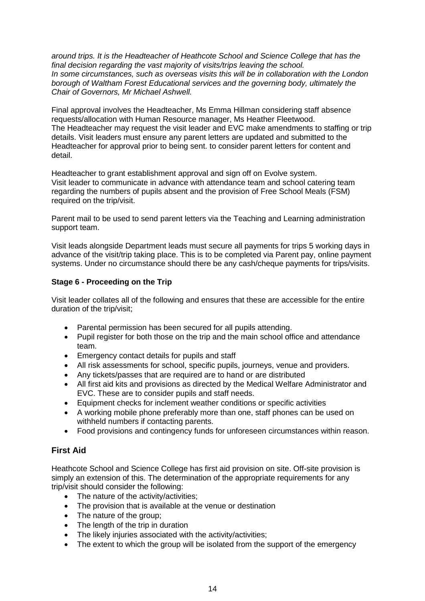*around trips. It is the Headteacher of Heathcote School and Science College that has the final decision regarding the vast majority of visits/trips leaving the school. In some circumstances, such as overseas visits this will be in collaboration with the London borough of Waltham Forest Educational services and the governing body, ultimately the Chair of Governors, Mr Michael Ashwell.*

Final approval involves the Headteacher, Ms Emma Hillman considering staff absence requests/allocation with Human Resource manager, Ms Heather Fleetwood. The Headteacher may request the visit leader and EVC make amendments to staffing or trip details. Visit leaders must ensure any parent letters are updated and submitted to the Headteacher for approval prior to being sent. to consider parent letters for content and detail.

Headteacher to grant establishment approval and sign off on Evolve system. Visit leader to communicate in advance with attendance team and school catering team regarding the numbers of pupils absent and the provision of Free School Meals (FSM) required on the trip/visit.

Parent mail to be used to send parent letters via the Teaching and Learning administration support team.

Visit leads alongside Department leads must secure all payments for trips 5 working days in advance of the visit/trip taking place. This is to be completed via Parent pay, online payment systems. Under no circumstance should there be any cash/cheque payments for trips/visits.

## **Stage 6 - Proceeding on the Trip**

Visit leader collates all of the following and ensures that these are accessible for the entire duration of the trip/visit;

- Parental permission has been secured for all pupils attending.
- Pupil register for both those on the trip and the main school office and attendance team.
- Emergency contact details for pupils and staff
- All risk assessments for school, specific pupils, journeys, venue and providers.
- Any tickets/passes that are required are to hand or are distributed
- All first aid kits and provisions as directed by the Medical Welfare Administrator and EVC. These are to consider pupils and staff needs.
- Equipment checks for inclement weather conditions or specific activities
- A working mobile phone preferably more than one, staff phones can be used on withheld numbers if contacting parents.
- Food provisions and contingency funds for unforeseen circumstances within reason.

## **First Aid**

Heathcote School and Science College has first aid provision on site. Off-site provision is simply an extension of this. The determination of the appropriate requirements for any trip/visit should consider the following:

- The nature of the activity/activities;
- The provision that is available at the venue or destination
- The nature of the group;
- The length of the trip in duration
- The likely injuries associated with the activity/activities;
- The extent to which the group will be isolated from the support of the emergency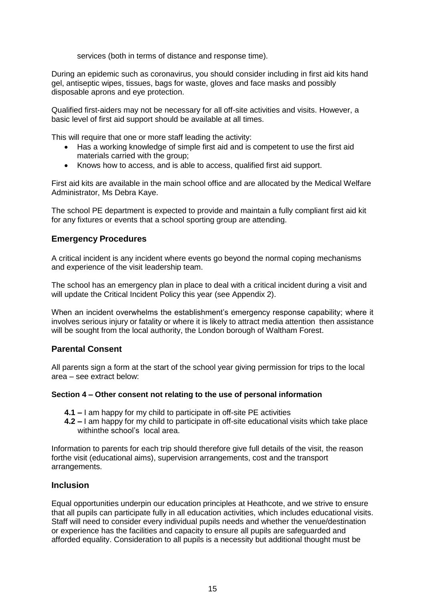services (both in terms of distance and response time).

During an epidemic such as coronavirus, you should consider including in first aid kits hand gel, antiseptic wipes, tissues, bags for waste, gloves and face masks and possibly disposable aprons and eye protection.

Qualified first-aiders may not be necessary for all off-site activities and visits. However, a basic level of first aid support should be available at all times.

This will require that one or more staff leading the activity:

- Has a working knowledge of simple first aid and is competent to use the first aid materials carried with the group;
- Knows how to access, and is able to access, qualified first aid support.

First aid kits are available in the main school office and are allocated by the Medical Welfare Administrator, Ms Debra Kaye.

The school PE department is expected to provide and maintain a fully compliant first aid kit for any fixtures or events that a school sporting group are attending.

## **Emergency Procedures**

A critical incident is any incident where events go beyond the normal coping mechanisms and experience of the visit leadership team.

The school has an emergency plan in place to deal with a critical incident during a visit and will update the Critical Incident Policy this year (see Appendix 2).

When an incident overwhelms the establishment's emergency response capability; where it involves serious injury or fatality or where it is likely to attract media attention then assistance will be sought from the local authority, the London borough of Waltham Forest.

## **Parental Consent**

All parents sign a form at the start of the school year giving permission for trips to the local area – see extract below:

#### **Section 4 – Other consent not relating to the use of personal information**

- **4.1 –** I am happy for my child to participate in off-site PE activities
- **4.2 –** I am happy for my child to participate in off-site educational visits which take place withinthe school's local area.

Information to parents for each trip should therefore give full details of the visit, the reason forthe visit (educational aims), supervision arrangements, cost and the transport arrangements.

#### **Inclusion**

Equal opportunities underpin our education principles at Heathcote, and we strive to ensure that all pupils can participate fully in all education activities, which includes educational visits. Staff will need to consider every individual pupils needs and whether the venue/destination or experience has the facilities and capacity to ensure all pupils are safeguarded and afforded equality. Consideration to all pupils is a necessity but additional thought must be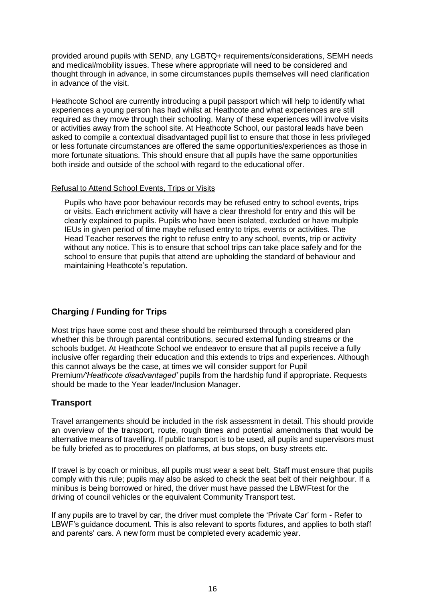provided around pupils with SEND, any LGBTQ+ requirements/considerations, SEMH needs and medical/mobility issues. These where appropriate will need to be considered and thought through in advance, in some circumstances pupils themselves will need clarification in advance of the visit.

Heathcote School are currently introducing a pupil passport which will help to identify what experiences a young person has had whilst at Heathcote and what experiences are still required as they move through their schooling. Many of these experiences will involve visits or activities away from the school site. At Heathcote School, our pastoral leads have been asked to compile a contextual disadvantaged pupil list to ensure that those in less privileged or less fortunate circumstances are offered the same opportunities/experiences as those in more fortunate situations. This should ensure that all pupils have the same opportunities both inside and outside of the school with regard to the educational offer.

#### Refusal to Attend School Events, Trips or Visits

Pupils who have poor behaviour records may be refused entry to school events, trips or visits. Each enrichment activity will have a clear threshold for entry and this will be clearly explained to pupils. Pupils who have been isolated, excluded or have multiple IEUs in given period of time maybe refused entry to trips, events or activities. The Head Teacher reserves the right to refuse entry to any school, events, trip or activity without any notice. This is to ensure that school trips can take place safely and for the school to ensure that pupils that attend are upholding the standard of behaviour and maintaining Heathcote's reputation.

# **Charging / Funding for Trips**

Most trips have some cost and these should be reimbursed through a considered plan whether this be through parental contributions, secured external funding streams or the schools budget. At Heathcote School we endeavor to ensure that all pupils receive a fully inclusive offer regarding their education and this extends to trips and experiences. Although this cannot always be the case, at times we will consider support for Pupil Premium*/'Heathcote disadvantaged'* pupils from the hardship fund if appropriate. Requests should be made to the Year leader/Inclusion Manager.

# **Transport**

Travel arrangements should be included in the risk assessment in detail. This should provide an overview of the transport, route, rough times and potential amendments that would be alternative means of travelling. If public transport is to be used, all pupils and supervisors must be fully briefed as to procedures on platforms, at bus stops, on busy streets etc.

If travel is by coach or minibus, all pupils must wear a seat belt. Staff must ensure that pupils comply with this rule; pupils may also be asked to check the seat belt of their neighbour. If a minibus is being borrowed or hired, the driver must have passed the LBWFtest for the driving of council vehicles or the equivalent Community Transport test.

If any pupils are to travel by car, the driver must complete the 'Private Car' form - Refer to LBWF's guidance document. This is also relevant to sports fixtures, and applies to both staff and parents' cars. A new form must be completed every academic year.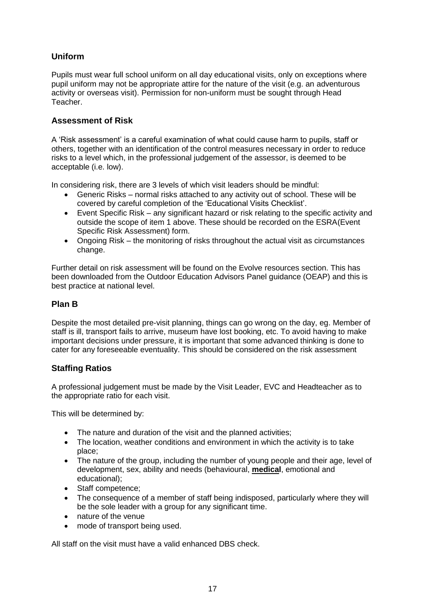# **Uniform**

Pupils must wear full school uniform on all day educational visits, only on exceptions where pupil uniform may not be appropriate attire for the nature of the visit (e.g. an adventurous activity or overseas visit). Permission for non-uniform must be sought through Head Teacher.

# **Assessment of Risk**

A 'Risk assessment' is a careful examination of what could cause harm to pupils, staff or others, together with an identification of the control measures necessary in order to reduce risks to a level which, in the professional judgement of the assessor, is deemed to be acceptable (i.e. low).

In considering risk, there are 3 levels of which visit leaders should be mindful:

- Generic Risks normal risks attached to any activity out of school. These will be covered by careful completion of the 'Educational Visits Checklist'.
- Event Specific Risk any significant hazard or risk relating to the specific activity and outside the scope of item 1 above. These should be recorded on the ESRA (Event Specific Risk Assessment) form.
- Ongoing Risk the monitoring of risks throughout the actual visit as circumstances change.

Further detail on risk assessment will be found on the Evolve resources section. This has been downloaded from the Outdoor Education Advisors Panel guidance (OEAP) and this is best practice at national level.

# **Plan B**

Despite the most detailed pre-visit planning, things can go wrong on the day, eg. Member of staff is ill, transport fails to arrive, museum have lost booking, etc. To avoid having to make important decisions under pressure, it is important that some advanced thinking is done to cater for any foreseeable eventuality. This should be considered on the risk assessment

# **Staffing Ratios**

A professional judgement must be made by the Visit Leader, EVC and Headteacher as to the appropriate ratio for each visit.

This will be determined by:

- The nature and duration of the visit and the planned activities;
- The location, weather conditions and environment in which the activity is to take place;
- The nature of the group, including the number of young people and their age, level of development, sex, ability and needs (behavioural, **medical**, emotional and educational);
- Staff competence;
- The consequence of a member of staff being indisposed, particularly where they will be the sole leader with a group for any significant time.
- nature of the venue
- mode of transport being used.

All staff on the visit must have a valid enhanced DBS check.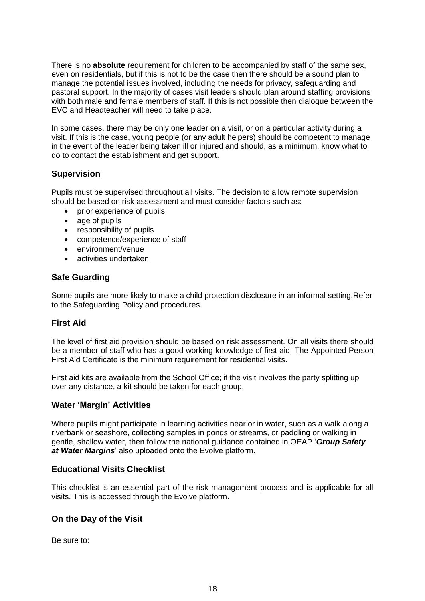There is no **absolute** requirement for children to be accompanied by staff of the same sex, even on residentials, but if this is not to be the case then there should be a sound plan to manage the potential issues involved, including the needs for privacy, safeguarding and pastoral support. In the majority of cases visit leaders should plan around staffing provisions with both male and female members of staff. If this is not possible then dialogue between the EVC and Headteacher will need to take place.

In some cases, there may be only one leader on a visit, or on a particular activity during a visit. If this is the case, young people (or any adult helpers) should be competent to manage in the event of the leader being taken ill or injured and should, as a minimum, know what to do to contact the establishment and get support.

## **Supervision**

Pupils must be supervised throughout all visits. The decision to allow remote supervision should be based on risk assessment and must consider factors such as:

- prior experience of pupils
- age of pupils
- responsibility of pupils
- competence/experience of staff
- environment/venue
- activities undertaken

## **Safe Guarding**

Some pupils are more likely to make a child protection disclosure in an informal setting.Refer to the Safeguarding Policy and procedures.

## **First Aid**

The level of first aid provision should be based on risk assessment. On all visits there should be a member of staff who has a good working knowledge of first aid. The Appointed Person First Aid Certificate is the minimum requirement for residential visits.

First aid kits are available from the School Office; if the visit involves the party splitting up over any distance, a kit should be taken for each group.

## **Water 'Margin' Activities**

Where pupils might participate in learning activities near or in water, such as a walk along a riverbank or seashore, collecting samples in ponds or streams, or paddling or walking in gentle, shallow water, then follow the national guidance contained in OEAP '*Group Safety at Water Margins*' also uploaded onto the Evolve platform.

## **Educational Visits Checklist**

This checklist is an essential part of the risk management process and is applicable for all visits. This is accessed through the Evolve platform.

## **On the Day of the Visit**

Be sure to: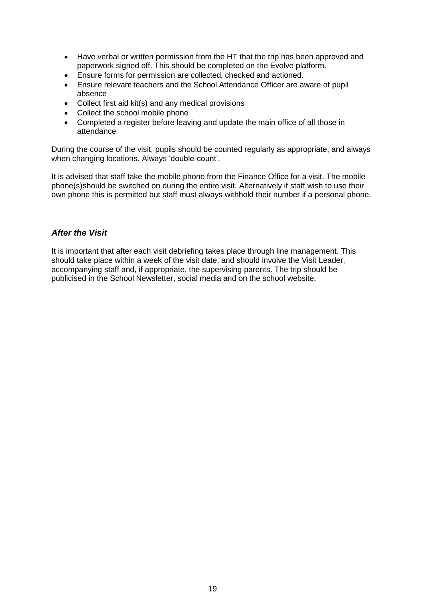- Have verbal or written permission from the HT that the trip has been approved and paperwork signed off. This should be completed on the Evolve platform.
- Ensure forms for permission are collected, checked and actioned.<br>• Ensure relevant teachers and the School Attendance Officer are av
- Ensure relevant teachers and the School Attendance Officer are aware of pupil absence
- Collect first aid kit(s) and any medical provisions
- Collect the school mobile phone
- Completed a register before leaving and update the main office of all those in attendance

During the course of the visit, pupils should be counted regularly as appropriate, and always when changing locations. Always 'double-count'.

It is advised that staff take the mobile phone from the Finance Office for a visit. The mobile phone(s)should be switched on during the entire visit. Alternatively if staff wish to use their own phone this is permitted but staff must always withhold their number if a personal phone.

#### *After the Visit*

It is important that after each visit debriefing takes place through line management. This should take place within a week of the visit date, and should involve the Visit Leader, accompanying staff and, if appropriate, the supervising parents. The trip should be publicised in the School Newsletter, social media and on the school website.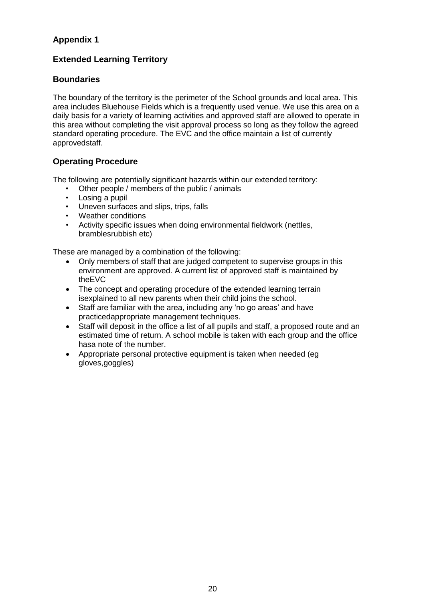# **Appendix 1**

# **Extended Learning Territory**

# **Boundaries**

The boundary of the territory is the perimeter of the School grounds and local area. This area includes Bluehouse Fields which is a frequently used venue. We use this area on a daily basis for a variety of learning activities and approved staff are allowed to operate in this area without completing the visit approval process so long as they follow the agreed standard operating procedure. The EVC and the office maintain a list of currently approvedstaff.

# **Operating Procedure**

The following are potentially significant hazards within our extended territory:

- Other people / members of the public / animals
- Losing a pupil
- Uneven surfaces and slips, trips, falls
- Weather conditions
- Activity specific issues when doing environmental fieldwork (nettles, bramblesrubbish etc)

These are managed by a combination of the following:

- Only members of staff that are judged competent to supervise groups in this environment are approved. A current list of approved staff is maintained by theEVC
- The concept and operating procedure of the extended learning terrain isexplained to all new parents when their child joins the school.
- Staff are familiar with the area, including any 'no go areas' and have practicedappropriate management techniques.
- Staff will deposit in the office a list of all pupils and staff, a proposed route and an estimated time of return. A school mobile is taken with each group and the office hasa note of the number.
- Appropriate personal protective equipment is taken when needed (eg gloves,goggles)